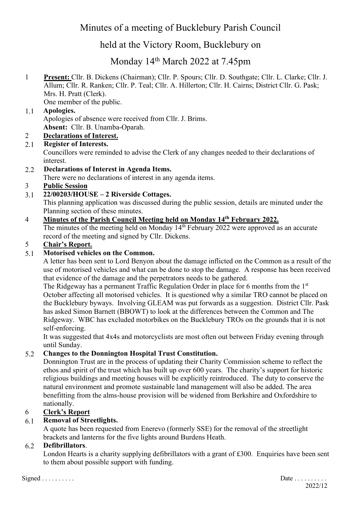# Minutes of a meeting of Bucklebury Parish Council

# held at the Victory Room, Bucklebury on

# Monday 14th March 2022 at 7.45pm

1 **Present:** Cllr. B. Dickens (Chairman); Cllr. P. Spours; Cllr. D. Southgate; Cllr. L. Clarke; Cllr. J. Allum; Cllr. R. Ranken; Cllr. P. Teal; Cllr. A. Hillerton; Cllr. H. Cairns; District Cllr. G. Pask; Mrs. H. Pratt (Clerk).

One member of the public.

# 1.1 **Apologies.**

Apologies of absence were received from Cllr. J. Brims. **Absent:** Cllr. B. Unamba-Oparah.

# 2 **Declarations of Interest.**

## 2.1 **Register of Interests.**

Councillors were reminded to advise the Clerk of any changes needed to their declarations of interest.

2.2 **Declarations of Interest in Agenda Items.**

There were no declarations of interest in any agenda items.

# 3 **Public Session**

# 3.1 **22/00203/HOUSE – 2 Riverside Cottages.**

This planning application was discussed during the public session, details are minuted under the Planning section of these minutes.

# 4 **Minutes of the Parish Council Meeting held on Monday 14th February 2022.**

The minutes of the meeting held on Monday  $14<sup>th</sup>$  February 2022 were approved as an accurate record of the meeting and signed by Cllr. Dickens.

## 5 **Chair's Report.**

## 5.1 **Motorised vehicles on the Common.**

A letter has been sent to Lord Benyon about the damage inflicted on the Common as a result of the use of motorised vehicles and what can be done to stop the damage. A response has been received that evidence of the damage and the perpetrators needs to be gathered.

The Ridgeway has a permanent Traffic Regulation Order in place for 6 months from the 1<sup>st</sup> October affecting all motorised vehicles. It is questioned why a similar TRO cannot be placed on the Bucklebury byways. Involving GLEAM was put forwards as a suggestion. District Cllr. Pask has asked Simon Barnett (BBOWT) to look at the differences between the Common and The Ridgeway. WBC has excluded motorbikes on the Bucklebury TROs on the grounds that it is not self-enforcing.

It was suggested that 4x4s and motorcyclists are most often out between Friday evening through until Sunday.

## 5.2 **Changes to the Donnington Hospital Trust Constitution.**

Donnington Trust are in the process of updating their Charity Commission scheme to reflect the ethos and spirit of the trust which has built up over 600 years. The charity's support for historic religious buildings and meeting houses will be explicitly reintroduced. The duty to conserve the natural environment and promote sustainable land management will also be added. The area benefitting from the alms-house provision will be widened from Berkshire and Oxfordshire to nationally.

## 6 **Clerk's Report**

## 6.1 **Removal of Streetlights.**

A quote has been requested from Enerevo (formerly SSE) for the removal of the streetlight brackets and lanterns for the five lights around Burdens Heath.

## 6.2 **Defibrillators**.

London Hearts is a charity supplying defibrillators with a grant of £300. Enquiries have been sent to them about possible support with funding.

 $Signed \dots \dots \dots$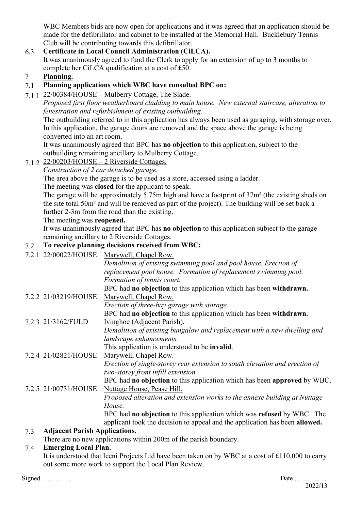WBC Members bids are now open for applications and it was agreed that an application should be made for the defibrillator and cabinet to be installed at the Memorial Hall. Bucklebury Tennis Club will be contributing towards this defibrillator.

## 6.3 **Certificate in Local Council Administration (CiLCA).**

It was unanimously agreed to fund the Clerk to apply for an extension of up to 3 months to complete her CiLCA qualification at a cost of £50.

# 7 **Planning.**

## 7.1 **Planning applications which WBC have consulted BPC on:**

7.1.1  $22/00384/HOUSE - Mulberry Cottage$ , The Slade.

*Proposed first floor weatherboard cladding to main house. New external staircase, alteration to fenestration and refurbishment of existing outbuilding.*

The outbuilding referred to in this application has always been used as garaging, with storage over. In this application, the garage doors are removed and the space above the garage is being converted into an art room.

It was unanimously agreed that BPC has **no objection** to this application, subject to the outbuilding remaining ancillary to Mulberry Cottage.

7.1.2  $22/00203/HOUSE - 2 Riverside Cottages.$ 

*Construction of 2 car detached garage.*

The area above the garage is to be used as a store, accessed using a ladder.

The meeting was **closed** for the applicant to speak.

The garage will be approximately 5.75m high and have a footprint of 37m² (the existing sheds on the site total 50m² and will be removed as part of the project). The building will be set back a further 2-3m from the road than the existing.

## The meeting was **reopened.**

It was unanimously agreed that BPC has **no objection** to this application subject to the garage remaining ancillary to 2 Riverside Cottages.

## 7.2 **To receive planning decisions received from WBC:**

|     | 7.2.1 22/00022/HOUSE                 | Marywell, Chapel Row.                                                       |
|-----|--------------------------------------|-----------------------------------------------------------------------------|
|     |                                      | Demolition of existing swimming pool and pool house. Erection of            |
|     |                                      | replacement pool house. Formation of replacement swimming pool.             |
|     |                                      | Formation of tennis court.                                                  |
|     |                                      | BPC had no objection to this application which has been withdrawn.          |
|     | 7.2.2 21/03219/HOUSE                 | Marywell, Chapel Row.                                                       |
|     |                                      | Erection of three-bay garage with storage.                                  |
|     |                                      | BPC had no objection to this application which has been withdrawn.          |
|     | 7.2.3 21/3162/FULD                   | Ivinghoe (Adjacent Parish).                                                 |
|     |                                      | Demolition of existing bungalow and replacement with a new dwelling and     |
|     |                                      | landscape enhancements.                                                     |
|     |                                      | This application is understood to be invalid.                               |
|     | 7.2.4 21/02821/HOUSE                 | Marywell, Chapel Row.                                                       |
|     |                                      | Erection of single-storey rear extension to south elevation and erection of |
|     |                                      | two-storey front infill extension.                                          |
|     |                                      | BPC had no objection to this application which has been approved by WBC.    |
|     | 7.2.5 21/00731/HOUSE                 | Nuttage House, Pease Hill.                                                  |
|     |                                      | Proposed alteration and extension works to the annexe building at Nuttage   |
|     |                                      | House.                                                                      |
|     |                                      | BPC had no objection to this application which was refused by WBC. The      |
|     |                                      | applicant took the decision to appeal and the application has been allowed. |
| 7.3 | <b>Adjacent Parish Applications.</b> |                                                                             |
|     |                                      |                                                                             |

There are no new applications within 200m of the parish boundary.

## 7.4 **Emerging Local Plan.**

It is understood that Iceni Projects Ltd have been taken on by WBC at a cost of £110,000 to carry out some more work to support the Local Plan Review.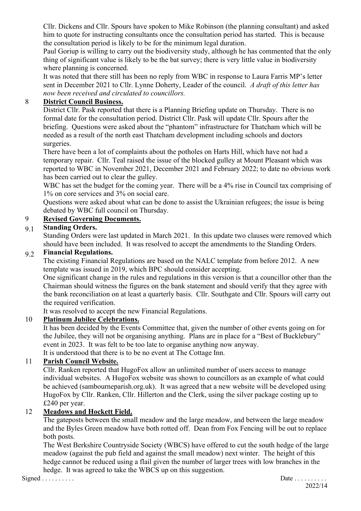Cllr. Dickens and Cllr. Spours have spoken to Mike Robinson (the planning consultant) and asked him to quote for instructing consultants once the consultation period has started. This is because the consultation period is likely to be for the minimum legal duration.

Paul Goriup is willing to carry out the biodiversity study, although he has commented that the only thing of significant value is likely to be the bat survey; there is very little value in biodiversity where planning is concerned.

It was noted that there still has been no reply from WBC in response to Laura Farris MP's letter sent in December 2021 to Cllr. Lynne Doherty, Leader of the council. *A draft of this letter has now been received and circulated to councillors.*

#### 8 **District Council Business.**

District Cllr. Pask reported that there is a Planning Briefing update on Thursday. There is no formal date for the consultation period. District Cllr. Pask will update Cllr. Spours after the briefing. Questions were asked about the "phantom" infrastructure for Thatcham which will be needed as a result of the north east Thatcham development including schools and doctors surgeries.

There have been a lot of complaints about the potholes on Harts Hill, which have not had a temporary repair. Cllr. Teal raised the issue of the blocked gulley at Mount Pleasant which was reported to WBC in November 2021, December 2021 and February 2022; to date no obvious work has been carried out to clear the gulley.

WBC has set the budget for the coming year. There will be a 4% rise in Council tax comprising of 1% on core services and 3% on social care.

Questions were asked about what can be done to assist the Ukrainian refugees; the issue is being debated by WBC full council on Thursday.

## 9 **Revised Governing Documents.**

# 9.1 **Standing Orders.**

Standing Orders were last updated in March 2021. In this update two clauses were removed which should have been included. It was resolved to accept the amendments to the Standing Orders.

#### 9.2 **Financial Regulations.**

The existing Financial Regulations are based on the NALC template from before 2012. A new template was issued in 2019, which BPC should consider accepting.

One significant change in the rules and regulations in this version is that a councillor other than the Chairman should witness the figures on the bank statement and should verify that they agree with the bank reconciliation on at least a quarterly basis. Cllr. Southgate and Cllr. Spours will carry out the required verification.

It was resolved to accept the new Financial Regulations.

#### 10 **Platinum Jubilee Celebrations.**

It has been decided by the Events Committee that, given the number of other events going on for the Jubilee, they will not be organising anything. Plans are in place for a "Best of Bucklebury" event in 2023. It was felt to be too late to organise anything now anyway.

It is understood that there is to be no event at The Cottage Inn.

#### 11 **Parish Council Website.**

Cllr. Ranken reported that HugoFox allow an unlimited number of users access to manage individual websites. A HugoFox website was shown to councillors as an example of what could be achieved (sambourneparish.org.uk). It was agreed that a new website will be developed using HugoFox by Cllr. Ranken, Cllr. Hillerton and the Clerk, using the silver package costing up to £240 per year.

#### 12 **Meadows and Hockett Field.**

The gateposts between the small meadow and the large meadow, and between the large meadow and the Byles Green meadow have both rotted off. Dean from Fox Fencing will be out to replace both posts.

The West Berkshire Countryside Society (WBCS) have offered to cut the south hedge of the large meadow (against the pub field and against the small meadow) next winter. The height of this hedge cannot be reduced using a flail given the number of larger trees with low branches in the hedge. It was agreed to take the WBCS up on this suggestion.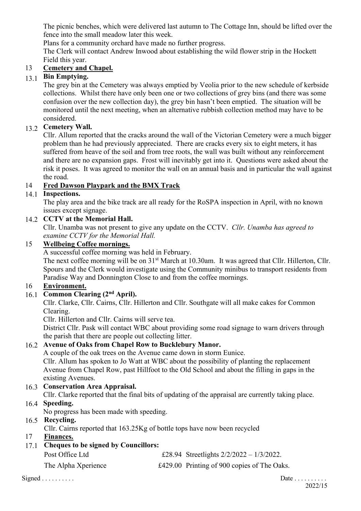The picnic benches, which were delivered last autumn to The Cottage Inn, should be lifted over the fence into the small meadow later this week.

Plans for a community orchard have made no further progress.

The Clerk will contact Andrew Inwood about establishing the wild flower strip in the Hockett Field this year.

## 13 **Cemetery and Chapel.**

# 13.1 **Bin Emptying.**

The grey bin at the Cemetery was always emptied by Veolia prior to the new schedule of kerbside collections. Whilst there have only been one or two collections of grey bins (and there was some confusion over the new collection day), the grey bin hasn't been emptied. The situation will be monitored until the next meeting, when an alternative rubbish collection method may have to be considered.

# 13.2 **Cemetery Wall.**

Cllr. Allum reported that the cracks around the wall of the Victorian Cemetery were a much bigger problem than he had previously appreciated. There are cracks every six to eight meters, it has suffered from heave of the soil and from tree roots, the wall was built without any reinforcement and there are no expansion gaps. Frost will inevitably get into it. Questions were asked about the risk it poses. It was agreed to monitor the wall on an annual basis and in particular the wall against the road.

# 14 **Fred Dawson Playpark and the BMX Track**

# 14.1 **Inspections.**

The play area and the bike track are all ready for the RoSPA inspection in April, with no known issues except signage.

## 14.2 **CCTV at the Memorial Hall.**

Cllr. Unamba was not present to give any update on the CCTV. *Cllr. Unamba has agreed to examine CCTV for the Memorial Hall.*

## 15 **Wellbeing Coffee mornings.**

A successful coffee morning was held in February.

The next coffee morning will be on 31<sup>st</sup> March at 10.30am. It was agreed that Cllr. Hillerton, Cllr. Spours and the Clerk would investigate using the Community minibus to transport residents from Paradise Way and Donnington Close to and from the coffee mornings.

## 16 **Environment.**

# 16.1 **Common Clearing (2nd April).**

Cllr. Clarke, Cllr. Cairns, Cllr. Hillerton and Cllr. Southgate will all make cakes for Common Clearing.

Cllr. Hillerton and Cllr. Cairns will serve tea.

District Cllr. Pask will contact WBC about providing some road signage to warn drivers through the parish that there are people out collecting litter.

# 16.2 **Avenue of Oaks from Chapel Row to Bucklebury Manor.**

A couple of the oak trees on the Avenue came down in storm Eunice.

Cllr. Allum has spoken to Jo Watt at WBC about the possibility of planting the replacement Avenue from Chapel Row, past Hillfoot to the Old School and about the filling in gaps in the existing Avenues.

# 16.3 **Conservation Area Appraisal.**

Cllr. Clarke reported that the final bits of updating of the appraisal are currently taking place.

# 16.4 **Speeding.**

No progress has been made with speeding.

# 16.5 **Recycling.**

Cllr. Cairns reported that 163.25Kg of bottle tops have now been recycled

## 17 **Finances.**

# 17.1 **Cheques to be signed by Councillors:**

| Post Office Ltd     | £28.94 Streetlights $2/2/2022 - 1/3/2022$ . |
|---------------------|---------------------------------------------|
| The Alpha Xperience | £429.00 Printing of 900 copies of The Oaks. |